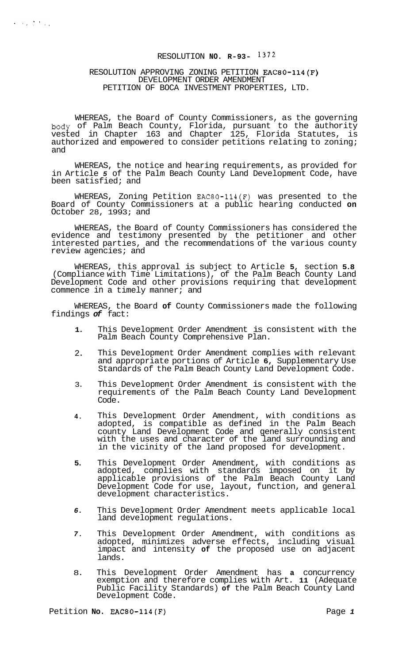# RESOLUTION **NO. R-93-** 1372

#### RESOLUTION APPROVING ZONING PETITION EAC80-114(F) DEVELOPMENT ORDER AMENDMENT PETITION OF BOCA INVESTMENT PROPERTIES, LTD.

WHEREAS, the Board of County Commissioners, as the governing body of Palm Beach County, Florida, pursuant to the authority vested in Chapter 163 and Chapter 125, Florida Statutes, is authorized and empowered to consider petitions relating to zoning; and

WHEREAS, the notice and hearing requirements, as provided for in Article *5* of the Palm Beach County Land Development Code, have been satisfied; and

WHEREAS, Zoning Petition EAC80-114(F) was presented to the Board of County Commissioners at a public hearing conducted **on**  October 28,  $1993;$  and

WHEREAS, the Board of County Commissioners has considered the evidence and testimony presented by the petitioner and other interested parties, and the recommendations of the various county review agencies; and

WHEREAS, this approval is subject to Article **5,** section **5.8**  (Compliance with Time Limitations), of the Palm Beach County Land Development Code and other provisions requiring that development commence in a timely manner; and

WHEREAS, the Board **of** County Commissioners made the following findings *of* fact:

- **1.**  This Development Order Amendment is consistent with the Palm Beach County Comprehensive Plan.
- 2. This Development Order Amendment complies with relevant and appropriate portions of Article **6,** Supplementary Use Standards of the Palm Beach County Land Development Code.
- 3. This Development Order Amendment is consistent with the requirements of the Palm Beach County Land Development Code.
- **4.**  This Development Order Amendment, with conditions as adopted, is compatible as defined in the Palm Beach county Land Development Code and generally consistent with the uses and character of the land surrounding and in the vicinity of the land proposed for development.
- **5.**  This Development Order Amendment, with conditions as adopted, complies with standards imposed on it by applicable provisions of the Palm Beach County Land Development Code for use, layout, function, and general development characteristics.
- *6.*  This Development Order Amendment meets applicable local land development regulations.
- *7.*  This Development Order Amendment, with conditions as adopted, minimizes adverse effects, including visual impact and intensity **of** the proposed use on adjacent lands.
- 8. This Development Order Amendment has **a** concurrency exemption and therefore complies with Art. **11** (Adequate Public Facility Standards) **of** the Palm Beach County Land Development Code.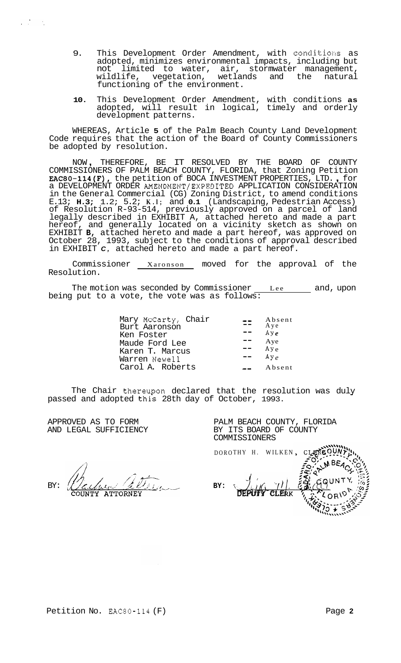- 9. This Development Order Amendment, with conditions as adopted, minimizes environmental impacts, including but not limited to water, air, stormwater management,<br>wildlife, vegetation, wetlands and the natural wetlands and the natural functioning of the environment.
- **10.** This Development Order Amendment, with conditions **as**  adopted, will result in logical, timely and orderly development patterns.

WHEREAS, Article **5** of the Palm Beach County Land Development Code requires that the action of the Board of County Commissioners be adopted by resolution.

NOW , THEREFORE, BE IT RESOLVED BY THE BOARD OF COUNTY COMMISSIONERS OF PALM BEACH COUNTY, FLORIDA, that Zoning Petition EAC80-114(F), the petition of BOCA INVESTMENT PROPERTIES, LTD. , for a DEVELOPMENT ORDER AMENDMENT/EXPEDITED APPLICATION CONSIDERATION in the General Commercial (CG) Zoning District, to amend conditions E.13; **H.3;** 1.2; 5.2; **K.l;** and **0.1** (Landscaping, Pedestrian Access) of Resolution R-93-514, previously approved on a parcel of land legally described in EXHIBIT A, attached hereto and made a part hereof, and generally located on a vicinity sketch as shown on EXHIBIT **B,** attached hereto and made a part hereof, was approved on October 28, 1993, subject to the conditions of approval described in EXHIBIT *C,* attached hereto and made a part hereof.

Commissioner Xaronson moved for the approval of the Resolution.

being put to a The motion was seconded by Commissioner <u>Lee and</u>, upon vote, the vote was as follows:

| Mary McCarty, Chair<br>Burt Aaronson<br>Ken Foster<br>Maude Ford Lee | Absent<br>Aye<br>A y e<br>Aye<br>A y e |
|----------------------------------------------------------------------|----------------------------------------|
| Karen T. Marcus<br>Warren Newell<br>Carol A. Roberts                 | $A y_{\rho}$<br>Absent                 |

The Chair thereupon declared that the resolution was duly passed and adopted this 28th day of October, 1993.

APPROVED AS TO FORM AND LEGAL SUFFICIENCY

 $\mathbb{R}^{\mathbb{Z}}$  $\sim$  1  $\alpha$ 

> BY: ATTORNEY

PALM BEACH COUNTY, FLORIDA BY ITS BOARD OF COUNTY COMMISSIONERS

DOROTHY H. WILKEN

**BY:**  DEPUTY CLERK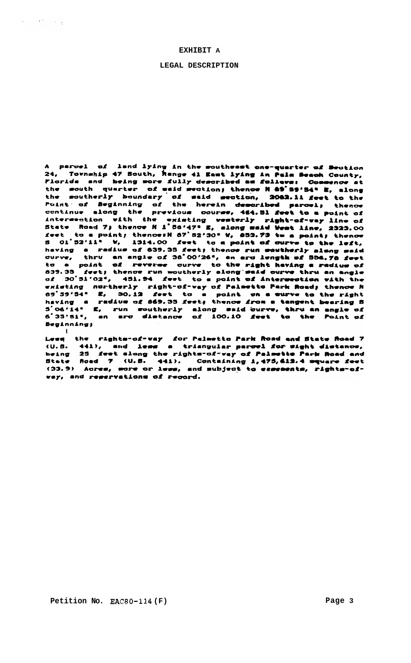### **EXHIBIT A**

 $\label{eq:1} \left\langle \mathbf{v}_{\mathrm{eff}} \right\rangle = \left\langle \mathbf{v}_{\mathrm{eff}} \right\rangle \left\langle \mathbf{v}_{\mathrm{eff}} \right\rangle$ 

 $\cdot$ 

#### **LEGAL DESCRIPTION**

A parcel of land lying in the southeast one-quarter of Section 24, Township 47 South, hange 41 East lying in Paim Beach County,<br>Florida and being more fully described as follows: Commence at the south quarter of waid section; thence H &9'39'54" E, along the moutherly boundary of maid meetion, 2062.il feet to the<br>Point of Beginning of the herein demoribed parcel; thence<br>continue along the previous course, 464.Bl feet to a point of continue along the previous course, ass. Bi reet to a point of<br>intersection with the existing westerly right-of-vay line of<br>State Road 7; thence N i 86'47" E, along maid West line, 2323.00<br>feet to a point; thence: N 87'52' having a radius of 639.35 feet; thence run southerly along said<br>curve, thru an angle of 36°00'26", an arc length of 556.78 feet<br>to a point of reverse curve to the right having a radius of<br>839.35 feet; thence run southerly feet; thence run moutherly along maid curve thru an angle d39.35 reet; thence run modtherly along mais curve thru an angle<br>of 30'51'02", 451.94 feet to a point of intermedian with the<br>existing northerly right-of-way of Palmetto Park Road; thence N<br>of 39'54" E, 30.12 feet to a poi **Beatnning:** 

Lews the rights-of-vay for Palmetto Park Road and State Road 7<br>(U.S. 441), and less a triangular parcel for sight distance,<br>being 25 feet along the rights-of-vay of Palmette Park Road and<br>State Road 7 (U.S. 441). Containin vey, and reservations of record.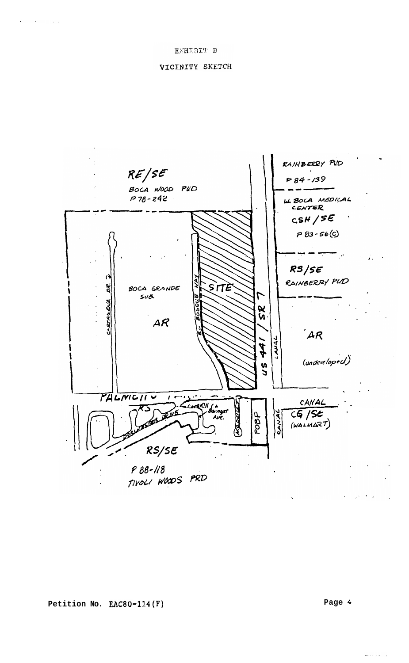## VICINITY SKETCH



الواري والأماميون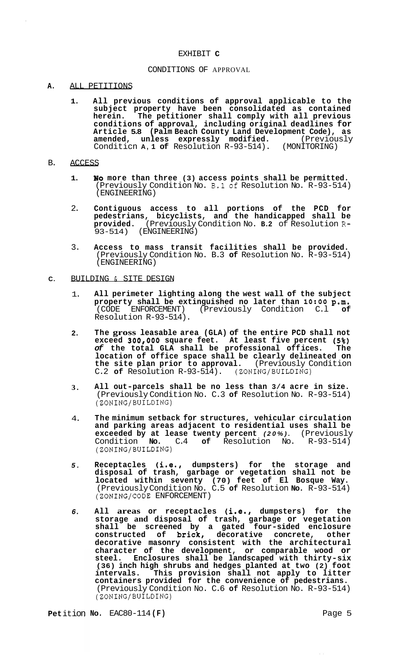#### EXHIBIT **C**

## CONDITIONS OF APPROVAL

### **A.** ALL PETITIONS

**1. All previous conditions of approval applicable to the subject property have been consolidated as contained herein. The petitioner shall comply with all previous conditions of approval, including original deadlines for Article 5.8 (Palm Beach County Land Development Code), as amended, unless expressly modified.** (Previously Conditicn **A, 1 of** Resolution R-93-514). (MONITORING)

#### B. ACCESS

- **1. No more than three (3) access points shall be permitted.**  (Previously Condition No. B.1of Resolution No. R-93-514) (ENGINEERING)
- 2. **Contiguous access to all portions of the PCD for pedestrians, bicyclists, and the handicapped shall be provided.** (Previously Condition No. **B.2** of Resolution **R-**93-514) (ENGINEERING)
- 3. **Access to mass transit facilities shall be provided.**  (Previously Condition No. B.3 **of** Resolution No. R-93-514) (ENGINEERING)
- **C.** BUILDING *f* SITE DESIGN
	- 1. **All perimeter lighting along the west wall of the subject property shall be extinguished no later than 10:00 p.m.** <br>(CODE ENFORCEMENT) (Previously Condition C.1 of (CODE ENFORCEMENT) (Previously Condition C.l **of**  Resolution R-93-514).
	- **2. The gross leasable area (GLA) of the entire PCD shall not exceed** *300#000* **square feet. At least five percent** *(5%) of* **the total GLA shall be professional off ices. The location of office space shall be clearly delineated on**  the site plan prior to approval. (Previously Condition C.2 of Resolution R-93-514). (ZONING/BUILDING)  $C.2$  of Resolution R-93-514).
	- **3. All out-parcels shall be no less than 3/4 acre in size.**  (Previously Condition No. C.3 **of** Resolution No. R-93-514) (ZONING/BUILDING)
	- 4. **The minimum setback for structures, vehicular circulation and parking areas adjacent to residential uses shall be exceeded by at lease twenty percent** *(20%).* (Previously Condition **No.** C.4 **of** Resolution No. R-93-514) (ZONING/BUILDING)
	- *5.*  **Receptacles (i.e.8 dumpsters) for the storage and disposal of trash, garbage or vegetation shall not be located within seventy (70) feet of El Bosque Way.**  (Previously Condition No. C.5 **of** Resolution **No.** R-93-514) (ZONING/CODE ENFORCEMENT)
	- *6.*  **All areas or receptacles (i.e., dumpsters) for the storage and disposal of trash, garbage or vegetation shall be screened by a gated four-sided enclosure constructed of brick, decorative concrete, other decorative masonry consistent with the architectural character of the development, or comparable wood or steel. Enclosures shall be landscaped with thirty-six (36) inch high shrubs and hedges planted at two (2) foot intervals. This provision shall not apply to litter containers provided for the convenience of pedestrians.**  (Previously Condition No. C.6 **of** Resolution No. R-93-514) (ZONING/BUILDING)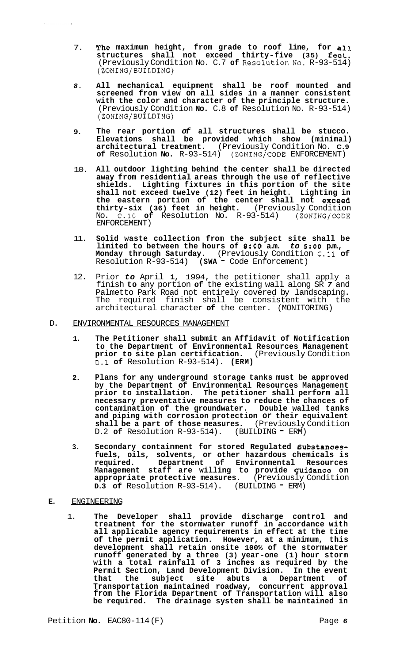- 7. **The maximum height, from grade to roof line, for a11 structures shall not exceed thirty-five (35) feat.**  (Previously Condition No. C.7 of Resolution No. R-93-514) (ZONING/BUILDING)
- *8.*  **All mechanical equipment shall be roof mounted and screened from view on all sides in a manner consistent with the color and character of the principle structure.**  (Previously Condition **No.** C.8 **of** Resolution No. R-93-514) (ZONING/BUILDING)
- **9. The rear portion** *of* **all structures shall be stucco. Elevations shall be provided which show (minimal) architectural treatment.** (Previously Condition No. **C.9 of** Resolution **No.** R-93-514) (ZONING/CODE ENFORCEMENT)
- 10. **All outdoor lighting behind the center shall be directed away from residential areas through the use of reflective shields. Lighting fixtures in this portion of the site shall not exceed twelve (12) feet in height. Lighting in the eastern portion of the center shall not exceetl thirty-six (36) feet in height.** (Previously Condition No. C.10 **of** Resolution No. R-93-514) (ZONING/CODE ENFORCEMENT)
- 11. **Solid waste collection from the subject site shall be limited to between the hours of** *8:OO* **a.m.** *to* **5:OO p.m., Monday through Saturday.** (Previously Condition C.11 **of**  Resolution R-93-514) **(SWA** - Code Enforcement)
- 12. Prior *to* April **1,** 1994, the petitioner shall apply a finish **to** any portion **of** the existing wall along SR *7* and Palmetto Park Road not entirely covered by landscaping. The required finish shall be consistent with the architectural character **of** the center. (MONITORING)
- D. ENVIRONMENTAL RESOURCES MANAGEMENT
	- **1. The Petitioner shall submit an Affidavit of Notification to the Department of Environmental Resources Management prior to site plan certification.** (Previously Condition D.1 **of** Resolution R-93-514). **(ERM)**
	- **2. Plans for any underground storage tanks must be approved by the Department of Environmental Resources Management prior to installation. The petitioner shall perform all necessary preventative measures to reduce the chances of contamination of the groundwater. Double walled tanks and piping with corrosion protection or their equivalent shall be a part of those measures.** (Previously Condition D.2 **of** Resolution R-93-514). (BUILDING - ERM)
	- **3. Secondary containment for stored Regulated Substancesfuels, oils, solvents, or other hazardous chemicals is required. Department of Environmental Resources Management staff are willing to provide guitlance on appropriate protective measures.** (Previously Condition **D.3 of** Resolution R-93-514). (BUILDING = ERM)
- **E.** ENGINEERING
	- 1. **The Developer shall provide discharge control and treatment for the stormwater runoff in accordance with all applicable agency requirements in effect at the time of the permit application. However, at a minimum, this development shall retain onsite 100% of the stormwater runoff generated by a three (3) year-one (1) hour storm with a total rainfall of 3 inches as required by the Permit Section, Land Development Division. In the event that the subject site abuts a Department of Transportation maintained roadway, concurrent approval from the Florida Department of Transportation will also be required. The drainage system shall be maintained in**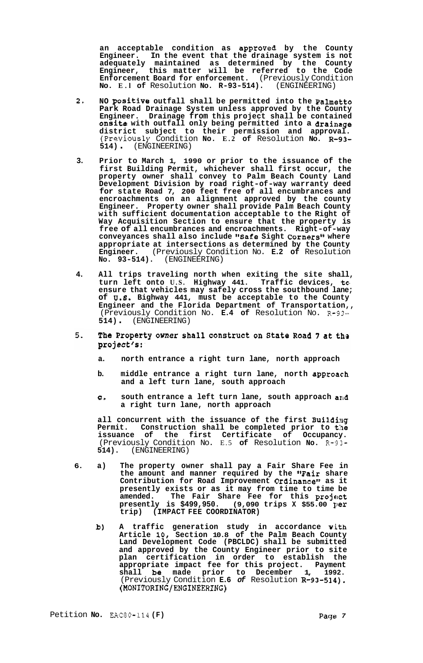an acceptable condition as approved by the County **Engineer. In the event that the drainage system is not adequately maintained as determined by the County Engineer, this matter will be referred to the Code Enforcement Board for enforcement.** (Previously Condition **No. E.l of** Resolution **No. R-93-514).** (ENGINEERING)

- **2. NO positive outfall shall be permitted into the Palmetto Park Road Drainage System unless approved by the County Engineer. Drainage from this project shall be contained onsite with outfall only being permitted into a drainage district subject to their permission and approval.**  (Previously Condition **No. E.2 of** Resolution **No. 13-93- 514)** . (ENGINEERING)
- **3. Prior to March 1, 1990 or prior to the issuance of the first Building Permit, whichever shall first occur, the property owner shall convey to Palm Beach County Land Development Division by road right-of-way warranty deed for state Road 7, 200 feet free of all encumbrances and encroachments on an alignment approved by the county Engineer. Property owner shall provide Palm Beach County with sufficient documentation acceptable to the Right of Way Acquisition Section to ensure that the property is free of all encumbrances and encroachments. Right-of-way conveyances shall also include "Safe Sight Corners't where appropriate at intersections as determined by the County Engineer.** (Previously Condition No. **E.2 of** Resolution **NO. 93-514).** (ENGINEERING)
- **4. All trips traveling north when exiting the site shall, turn left onto U.S. Highway 441. Traffic devices, tam ensure that vehicles may safely cross the southbound lane; of U.8. Bighway 441, must be acceptable to the County Engineer and the Florida Department of Transportation,,**  (Previously Condition No. **E.4 of** Resolution No. R-93- **514)** . (ENGINEERING)
- $5.$ The Property owner shall construct on State Road 7 at the project's:
	- **a. north entrance a right turn lane, north approach**
	- **b.** middle entrance a right turn lane, north approach **and a left turn lane, south approach**
	- **e. south entrance a left turn lane, south approach and a right turn lane, north approach**

**all concurrent with the issuance of the first Building Permit. Construction shall be completed prior to the issuance of the first Certificate of Occupancy.**  (Previously Condition No. E.5 **of** Resolution **No.** R-93- **514).** (ENGINEERING)

- **6. a) The property owner shall pay a Fair Share Fee in the amount and manner required by the '#Fair share Contribution for Road Improvement Ordinance" as it presently exists or as it may from time to time be**  amended. The Fair Share Fee for this project **presently is \$499,950. (9,090 trips X \$55.00 per trip) (IMPACT FEE COORDINATOR)** 
	- **b)** A traffic generation study in accordance with **Article 10, Section 10.8 of the Palm Beach County Land Development Code (PBCLDC) shall be submitted and approved by the County Engineer prior to site plan certification in order to establish the appropriate impact fee for this project. Payment shall be made prior to December 1, 1992.**  (Previously Condition **E.6** *of* Resolution **R-93-534). (MONITORING/ENGINEERING)**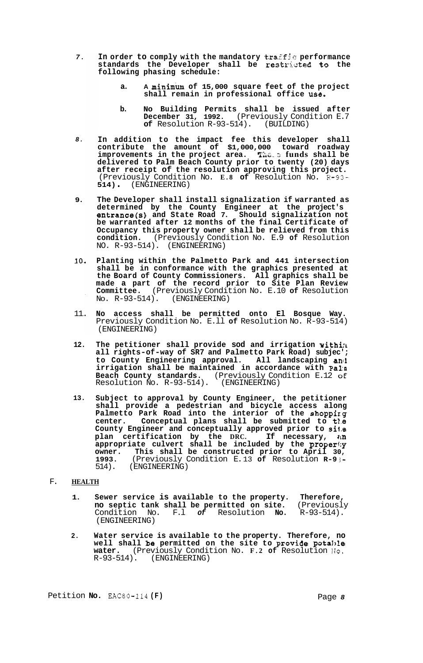- *7.*  **In order to comply with the mandatory**  $\texttt{traff}$  $\circ$  **performance standards the Developer shall be restricted to the following phasing schedule:** 
	- **a. A minim& of 15,000 square feet of the project shall remain in professional office use.**
	- **b. No Building Permits shall be issued after December 31, 1992.** (Previously Condition E.7<br>**of** Resolution R-93-514). (BUILDING) of Resolution R-93-514).
- *8.*  **In addition to the impact fee this developer shall contribute the amount of \$1,000,000 toward roadway improvements in the project area.** The s funds shall be **delivered to Palm Beach County prior to twenty (20) days after receipt of the resolution approving this project.**  (Previously Condition No. **E.8 of** Resolution No. R-93- **514)** . (ENGINEERING)
- **9. The Developer shall install signalization if warranted as determined by the County Engineer at the project's entrance(s) and State Road 7. Should signalization not be warranted after 12 months of the final Certificate of Occupancy this property owner shall be relieved from this condition.** (Previously Condition No. E.9 **of** Resolution NO. R-93-514). (ENGINEERING)
- **10. Planting within the Palmetto Park and 441 intersection shall be in conformance with the graphics presented at the Board of County Commissioners. All graphics shall be made a part of the record prior to Site Plan Review Committee.** (Previously Condition No. E.10 **of** Resolution NO. R-93-514). (ENGINEERING)
- 11. **No access shall be permitted onto El Bosque Way.**  Previously Condition No. E.ll **of** Resolution No. R-93-514) (ENGINEERING)
- **12. The petitioner shall provide sod and irrigation withilt all rights-of-way of SR7 and Palmetto Park Road) subjec'; to County Engineering approval. All landscaping anci irrigation shall be maintained in accordance with Pa1:n Beach County standards.** (Previously Condition E.12 **oE**  Resolution No. R-93-514). (ENGINEERING)
- **13. Subject to approval by County Engineer, the petitioner shall provide a pedestrian and bicycle access along Palmetto Park Road into the interior of the shoppirg center. Conceptual plans shall be submitted to t1.e County Engineer and conceptually approved prior to si1.e plan certification by the DRC. If necessary,**  $\mathbf{u} \cdot \mathbf{n}$ **appropriate culvert shall be included by the properi;y owner. This shall be constructed prior to April 30, 1993.** (Previously Condition E. 13 **of** Resolution **R-9** *3-*  514). (ENGINEERING)

## F. **HEALTH**

- **1. Sewer service is available to the property. Therefore,**  no septic tank shall be permitted on site. Condition No. F.l *of* Resolution **No.** R-93-514). (ENGINEERING)
- **2. Water service is available to the property. Therefore, no well shall b8 permitted on the site to provide pota1,le water.** (Previously Condition No. **F.2 of** Resolution **IJo.**  R-93-514). (ENGINEERING)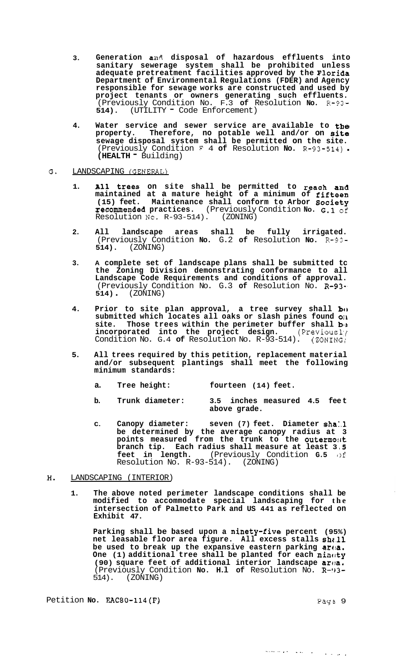- **3. Generation an4 disposal of hazardous effluents into sanitary sewerage system shall be prohibited unless adequate pretreatment facilities approved by the Floriaa Department of Environmental Regulations (FDER) and Agency responsible for sewage works are constructed and used by project tenants or owners generating such effluents.**  (Previously Condition No. F.3 **of** Resolution **No.** R-93- **514).** (UTILITY - Code Enforcement)
- **4. Water service and sewer service are available to the property. Therefore, no potable well and/or on site sewage disposal system shall be permitted on the site.**  (Previously Condition **F** 4 **of** Resolution **No.** R-93-514) . **(HEALTH** - Building)

## G. LANDSCAPING (GENERAL)

- **1. All trees on site shall be permitted to reach and maintained at a mature height of a minimum of fifteen (15) feet. Maintenance shall conform to Arbor society recommended practices.** (Previously Condition **No.** *G.***1** of Resolution No. R-93-514). (ZONING)  $Resolution No. R-93-514).$
- **2. All landscape areas shall be fully irrigated.**  (Previously Condition **No.** G.2 **of** Resolution **No.** R-93- **514).** (ZONING)
- **3. A complete set of landscape plans shall be submitted tc the Zoning Division demonstrating conformance to all Landscape Code Requirements and conditions of approval.**  (Previously Condition No. G.3 **of** Resolution No. **R-93-, 514)** . (ZONING)
- **4.** Prior to site plan approval, a tree survey shall be **submitted which locates all oaks or slash pines found OIL**  site. Those trees within the perimeter buffer shall  $b_{ij}$ **incorporated into the project design.** (Previousl<sub>)</sub> Condition No. G.4 **of** Resolution No. R-93-514). (ZONING1
- **5. All trees required by this petition, replacement material and/or subsequent plantings shall meet the following minimum standards:** 
	- **a. Tree height: fourteen (14) feet.**
	- **b. Trunk diameter: 3.5 inches measured 4.5 fee t above grade.**
	- **C. Canopy diameter: seven (7) feet. Diameter sha:.l be determined by the average canopy radius at 3 points measured from the trunk to the outermo:rt branch tip. Each radius shall measure at least 3.5 feet in length.** (Previously Condition G.5 of **feet in length.** (Previously Condition **G.5 of**  Resolution No.  $R-93-514$ ). (ZONING)

## **H.** LANDSCAPING (INTERIOR)

**1. The above noted perimeter landscape conditions shall be modified to accommodate special landscaping for the intersection of Palmetto Park and US 441 as reflected on Exhibit 47.** 

**Parking shall be based upon a ninety-five percent (95%) net leasable floor area figure. All excess stalls shz.11**  be used to break up the expansive eastern parking  $ar(x)$ . One (1) additional tree shall be planted for each ninety **(90) square feet of additional interior landscape aroa.**  (Previously Condition **No. H.l of** Resolution No. **R-'13-**  514). (ZONING)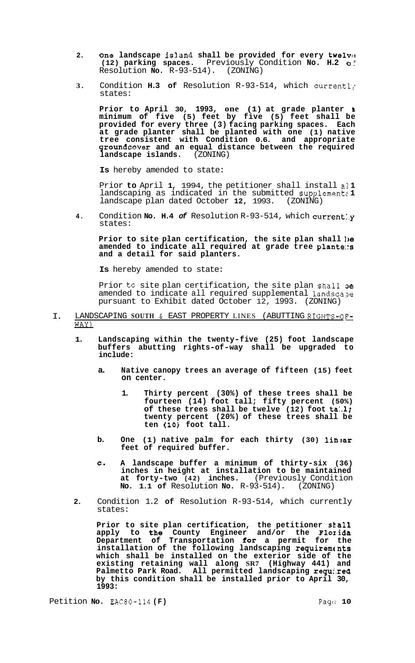- 2. One landscape island shall be provided for every twelve **(12) parking spaces.** Previously Condition **No. H.2** *0::*  Resolution **No.** R-93-514).
- **3.** Condition **H.3 of** Resolution R-93-514, which currentl'r states:

**Prior to April 30, 1993, one (1) at grade planter <sup>L</sup> minimum of five (5) feet by five (5) feet shall be provided for every three (3) facing parking spaces. Each at grade planter shall be planted with one (1) native tree consistent with Condition 0.6. and appropriate groundcover and an equal distance between the required landscape islands.** (ZONING)

**Is** hereby amended to state:

Prior **to** April **1,** 1994, the petitioner shall install a1 **1**  landscaping as indicated in the submitted supplement& 1 landscape plan dated October **12,** 1993. (ZONING)

**4.** Condition **No. H.4** *of* Resolution R-93-514, which current:.y states:

**Prior to site plan certification, the site plan shall ],e amended to indicate all required at grade tree p1ante::s and a detail for said planters.** 

**Is** hereby amended to state:

Prior to site plan certification, the site plan shall oe amended to indicate all required supplemental landscape pursuant to Exhibit dated October 12, 1993. (ZONING)

- I. LANDSCAPING **SOUTH** & EAST PROPERTY LINES (ABUTTING RIGHTS-OF-WAY)
	- **1. Landscaping within the twenty-five (25) foot landscape buffers abutting rights-of-way shall be upgraded to include:** 
		- **a. Native canopy trees an average of fifteen (15) feet on center.** 
			- **1. Thirty percent (30%) of these trees shall be fourteen (14) foot tall; fifty percent (50%) of these trees shall be twelve (12) foot ta:.l; twenty percent (20%) of these trees shall be ten (10) foot tall.**
		- **b.** One (1) native palm for each thirty (30) linear **feet of required buffer.**
		- **C. A landscape buffer a minimum of thirty-six (36) inches in height at installation to be maintained at forty-two (42) inches.** (Previously Condition **No. 1.1 of** Resolution **No.** R-93-514). (ZONING)
	- **2.** Condition 1.2 **of** Resolution R-93-514, which currently states:

Prior to site plan certification, the petitioner **shall apply to the County Engineer and/or the Flo~ida Department of Transportation for a permit for the installation of the following landscaping requirements which shall be installed on the exterior side of the existing retaining wall along SR7 (Highway 441) and Palmetto Park Road. All permitted landscaping requi.red by this condition shall be installed prior to April 30, 1993:**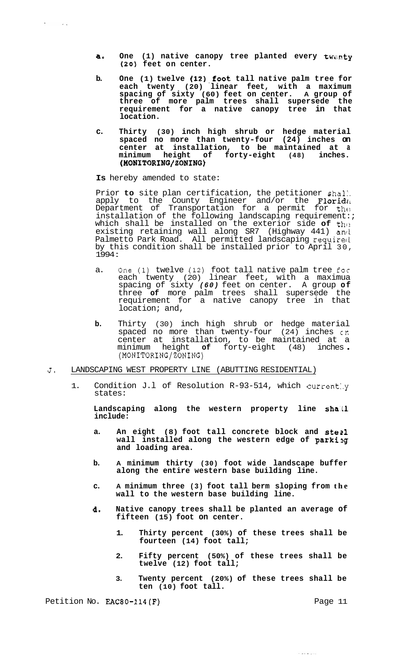- **a**. One (1) native canopy tree planted every twenty **(20) feet on center.**
- **b. One (1) twelve (12)-foot tall native palm tree for each twenty (20) linear feet, with a maximum spacing of sixty (60) feet on center. A group of three of more palm trees shall supersede the requirement for a native canopy tree in that location.**
- **c. Thirty (30) inch high shrub or hedge material spaced no more than twenty-four (24) inches on center at installation, to be maintained at a minimum height of forty-eight (48) inches.**  (MONITORING/ZONING)

**Is** hereby amended to state:

 $\sim$   $\sim$ 

Prior **to** site plan certification, the petitioner shal:. apply to the County Engineer and/or the Florida Department of Transportation for a permit for th $\alpha$ installation of the following landscaping requirement:; which shall be installed on the exterior side of the existing retaining wall along SR7 (Highway 441) and Palmetto Park Road. All permitted landscaping requireci by this condition shall be installed prior to April 30, <sup>1994</sup>:

- a. One (1) twelve (12) foot tall native palm tree for each twenty (20) linear feet, with a maximua spacing of sixty *(60)* feet on center. A group **of**  three **of** more palm trees shall supersede the requirement for a native canopy tree in that location; and,
- **b.** Thirty (30) inch high shrub or hedge material spaced no more than twenty-four (24) inches cn center at installation, to be maintained at a minimum height **of** forty-eight (48) inches . (MONITORING/ZONING)
- **J.** LANDSCAPING WEST PROPERTY LINE (ABUTTING RESIDENTIAL)
	- 1. Condition J.l of Resolution R-93-514, which current:.y states:

**Landscaping along the western property line shall include:** 

- **a. An eight (8) foot tall concrete block and ste 21 wall installed along the western edge of parking and loading area.**
- **b. A minimum thirty (30) foot wide landscape buffer along the entire western base building line.**
- **c. A minimum three (3) foot tall berm sloping from the wall to the western base building line.**
- **d. Native canopy trees shall be planted an average of fifteen (15) foot on center.** 
	- **1. Thirty percent (30%) of these trees shall be fourteen (14) foot tall;**
	- **2. Fifty percent (50%) of these trees shall be twelve (12) foot tall;**
	- **3. Twenty percent (20%) of these trees shall be ten (10) foot tall.**

Petition No. **EAC80-114(F)** Petition No. **EAC80-114(F)** 

للمراجع والمساجر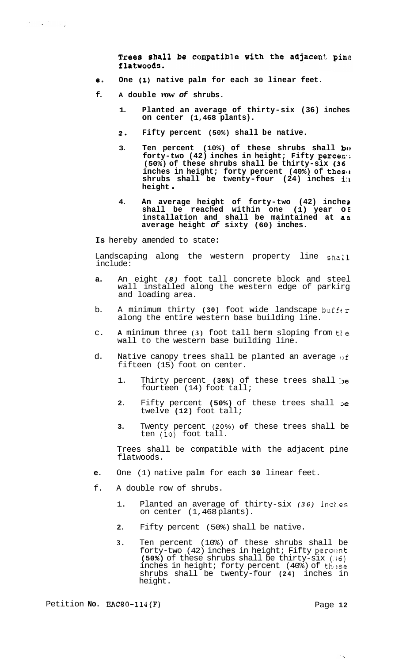Trees shall be compatible with the adjacent pine flatwoods.

- **e. One (1) native palm for each 30 linear feet.**
- **f. A double row** *of* **shrubs.** 
	- **1. Planted an average of thirty-six (36) inches on center (1,468 plants).**
	- *2.* **Fifty percent (50%) shall be native.**
	- 3. Ten percent (10%) of these shrubs shall **b**<sup>(1</sup>) **forty-two (42) inches in height; Fifty perceni; (50%) of these shrubs shall be thirty-six (36: inches in height; forty percent (40%) of these shrubs shall be twenty-four (24) inches i:r height** .
	- **4. An average height of forty-two (42) inche <sup>3</sup>** shall be reached within one (1) year o**E installation and shall be maintained at aa average height** *of* **sixty (60) inches.**

**Is** hereby amended to state:

Landscaping along the western property line shall include:

- **a.** An eight *(8)* foot tall concrete block and steel wall installed along the western edge of parkirg and loading area.
- b. A minimum thirty **(30)** foot wide landscape buffer along the entire western base building line.
- c. A minimum three (3) foot tall berm sloping from the wall to the western base building line.
- d. Native canopy trees shall be planted an average  $\theta$ f fifteen (15) foot on center.
	- 1. Thirty percent (30%) of these trees shall be fourteen (14) foot tall;
	- 2. Fifty percent (50%) of these trees shall **be** twelve **(12)** foot tall;
	- **3.** Twenty percent (20%) **of** these trees shall be ten (lo) foot tall.

Trees shall be compatible with the adjacent pine flatwoods.

- **e.** One (1) native palm for each **30** linear feet.
- f. A double row of shrubs.
	- 1. Planted an average of thirty-six (36) inches on center (1,468 plants).
	- **2.** Fifty percent (50%) shall be native.
	- **3.** Ten percent (10%) of these shrubs shall be forty-two (42) inches in height; Fifty percent **(50%)** of these shrubs shall be thirty-six **(:I6)**  inches in height; forty percent (40%) of these shrubs shall be twenty-four **(24)** inches in height.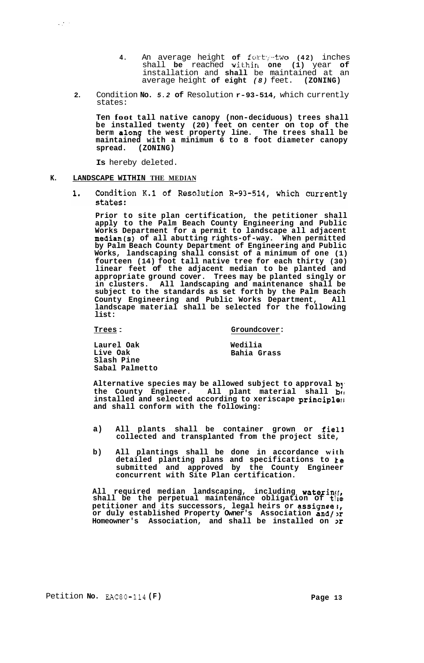- **4.** An average height of forty-two (42) inches shall be reached within one (1) year of installation and **shall** be maintained at an average height **of eight** *(8)* feet. **(ZONING)**
- **2.** Condition **No.** *5.2* **of** Resolution **r-93-514,** which currently states:

**Ten foot tall native canopy (non-deciduous) trees shall be installed twenty (20) feet on center on top of the berm along the west property line. The trees shall be maintained with a minimum 6 to 8 foot diameter canopy spread. (ZONING)** 

**Is** hereby deleted.

## **K. LANDSCAPE WITHIN THE MEDIAN**

 $\omega_{\rm eff}^{\rm (1000)}$ 

 $1.$ Condition K.1 of Resolution R-93-514, which currently states:

**Prior to site plan certification, the petitioner shall apply to the Palm Beach County Engineering and Public Works Department for a permit to landscape all adjacent median(s) of all abutting rights-of-way. When permitted by Palm Beach County Department of Engineering and Public Works, landscaping shall consist of a minimum of one (1) fourteen (14) foot tall native tree for each thirty (30) linear feet of the adjacent median to be planted and appropriate ground cover. Trees may be planted singly or in clusters. All landscaping and maintenance shall be subject to the standards as set forth by the Palm Beach County Engineering and Public Works Department, All landscape material shall be selected for the following list:** 

#### **Trees** : **Groundcover:**

**Laurel Oak Live Oak Slash Pine Sabal Palmetto** 

**Wedilia Bahia Grass** 

Alternative species may be allowed subject to approval by the County Engineer. All plant material shall but **installed and selected according to xeriscape princip1e:r and shall conform with the following:** 

- **a) All plants shall be container grown or fie13 collected and transplanted from the project site,**
- **b) All plantings shall be done in accordance with detailed planting plans and specifications to le submitted and approved by the County Engineer concurrent with Site Plan certification.**

**All required median landscaping, including waterin([,**  shall be the perpetual maintenance obligation of the **petitioner and its successors, legal heirs or assignees, or duly established Property Owner's Association and/,r Homeowner's Association, and shall be installed on x**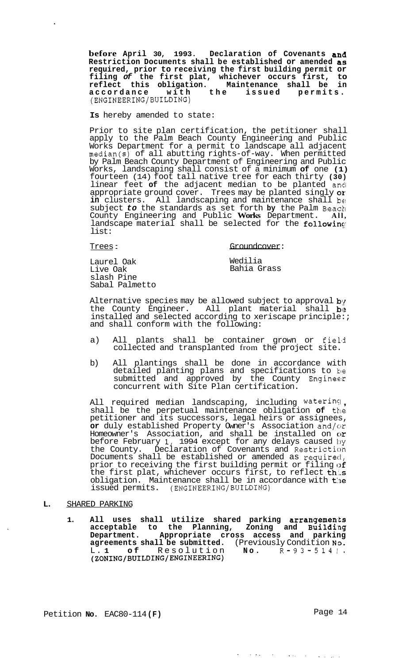**before April 30, 1993. Declaration of Covenants and Restriction Documents shall be established or amended as required, prior to receiving the first building permit or filing** *of* **the first plat, whichever occurs first, to reflect this obligation. Maintenance shall be in accordance with the issued permits.**  (ENGINEERING/BUILDING)

**Is** hereby amended to state:

Prior to site plan certification, the petitioner shall apply to the Palm Beach County Engineering and Public Works Department for a permit to landscape all adjacent median(s) of all abutting rights-of-way. When permitted by Palm Beach County Department of Engineering and Public Works, landscaping shall consist of a minimum **of** one **(1)**  fourteen (14) foot tall native tree for each thirty **(30)**  linear feet **of** the adjacent median to be planted andl appropriate ground cover. Trees may be planted singly *ox'*  in clusters. All landscaping and maintenance shall be subject *to* the standards as set forth **by** the Palm Beackl County Engineering and Public **Works** Department. **All,**  landscape material shall be selected for the following list:

 $\bullet$ 

Trees : Groundcover:

Laurel Oak Live Oak slash Pine Sabal Palmetto

Wedilia Bahia Grass

Alternative species may be allowed subject to approval  $\mathbf{b}$ y the County Engineer. All plant material shall be installed and selected according to xeriscape principle:; and shall conform with the following:

- a) All plants shall be container grown or field collected and transplanted from the project site.
- b) All plantings shall be done in accordance with detailed planting plans and specifications to he submitted and approved by the County Engineer concurrent with Site Plan certification.

All required median landscaping, including waterin51 , shall be the perpetual maintenance obligation **of** tkle petitioner and its successors, legal heirs or assignees, or duly established Property Owner's Association and/or Homeowner's Association, and shall be installed on  $\alpha$ before February **I,** 1994 except for any delays caused 1:)y the County. Declaration of Covenants and Restriction Documents shall be established or amended as required, prior to receiving the first building permit or filing of the first plat, whichever occurs first, to reflect this obligation. Maintenance shall be in accordance with  $t$ he issued permits. (ENGINEERING/BUILDING)

### **L.** SHARED PARKING

1. All uses shall utilize shared parking arrangements **acceptable to the Planning, Zoning and Buildi,ng Department. Appropriate cross access and parking agreements shall be submitted.** (Previously Condition **NO. (ZONING/BUILDING/ENGINEERING)**  L. **1 of** Resolution **No.** R-93-5141.

Petition **No.** EAC80-114 (F) Page 14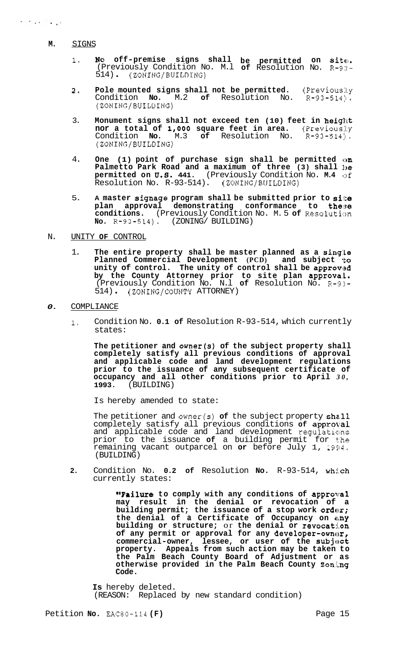- **M.** SIGNS
	- 1. **No off-premise signs shall be permitted on site.** (Previously Condition No. M.l **of** Resolution No. R-9:I-514) . (ZONING/BUILDING)
	- **2. Pole mounted signs shall not be permitted.** (Previous:ly Condition No. M.2 of Resolution No. R-93-514). Condition No. M.2 of Resolution No. R-93-514). (ZONING/BUILDING)
	- 3. **Monument signs shall not exceed ten (10) feet in height nor a total of 1,000 square feet in area.** (Previously Condition **No.** M.3 **of** Resolution No. R-93-514). (ZONING/BUILDING)
	- 4. **One (1) point of purchase sign shall be permitted on Palmetto Park Road and a maximum of three (3) shall he permitted on** *0.6.* **441.** (Previously Condition No. **M.4 of**  Resolution No. R-93-514). (ZONING/BUILDING)
	- 5. A master signage program shall be submitted prior to site plan approval demonstrating conformance to the;se **conditions.** (Previously Condition No. M.5 of Resolution **NO.** R-93-514). (ZONING/ BUILDING)
- N. UNITY **OF** CONTROL
	- 1. **The entire property shall be master planned as a singlle Planned Commercial Development (PCD) and subject 'to unity of control. The unity of control shall be approvlsd**  by the County Attorney prior to site plan approval. (Previously Condition No. N.l **of** Resolution No. **R-93-**  514) . (ZONING/COUNTY ATTORNEY)
- *0.* COMPLIANCE
	- **1.** Condition No. **0.1 of** Resolution R-93-514, which currently states:

**The petitioner and owner(s) of the subject property shall completely satisfy all previous conditions of approval and applicable code and land development regulations prior to the issuance of any subsequent certificate of occupancy and all other conditions prior to April** *30,*  **1993.** (BUILDING)

Is hereby amended to state:

The petitioner and owner(s) of the subject property shall completely satisfy all previous conditions of approval and applicable code and land development regulations prior to the issuance **of** a building permit for **t:he**  remaining vacant outparcel on **or** before July 1, 19514. (BUILDING)

2. Condition No. 0.2 of Resolution No. R-93-514, which currently states:

> **"Failure** to comply with any conditions of approval **may result in the denial or revocation of a**  building permit; the issuance of a stop work order; **the denial of a Certificate of Occupancy on my building or structure;** or **the denial or revocat:i.on**  of any permit or approval for any developer-owner, commercial-owner, lessee, or user of the subject **property. Appeals from such action may be taken to the Palm Beach County Board of Adjustment or as otherwise provided in the Palm Beach County Zon,i.ng Code.**

**Is** hereby deleted. (REASON: Replaced by new standard condition)